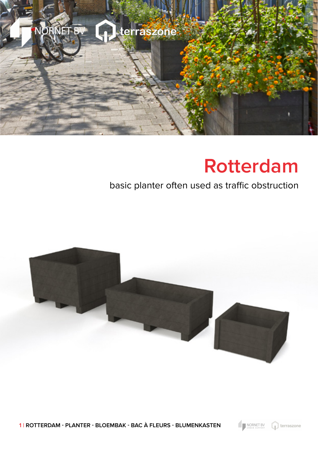

## **Rotterdam**

## basic planter often used as traffic obstruction



**1 | ROTTERDAM - PLANTER - BLOEMBAK - BAC À FLEURS - BLUMENKASTEN**

NORNET BV

terraszone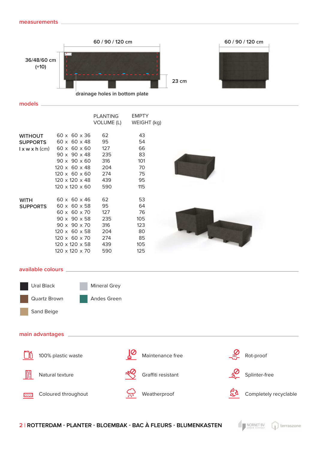**models**



|                 |                               | PLANTING   | <b>EMPTY</b> |
|-----------------|-------------------------------|------------|--------------|
|                 |                               | VOLUME (L) | WEIGHT (kg)  |
| <b>WITHOUT</b>  | $60 \times 60 \times 36$      | 62         | 43           |
|                 | $60 \times 60 \times 48$      |            | 54           |
| <b>SUPPORTS</b> |                               | 95         |              |
|                 | $l$ x w x h (cm) 60 x 60 x 60 | 127        | 66           |
|                 | 90 x 90 x 48                  | 235        | 83           |
|                 | $90 \times 90 \times 60$      | 316        | 101          |
|                 | 120 x 60 x 48                 | 204        | 70           |
|                 | $120 \times 60 \times 60$ 274 |            | 75           |
|                 | 120 x 120 x 48                | 439        | 95           |
|                 | 120 x 120 x 60                | 590        | 115          |
| <b>WITH</b>     | $60 \times 60 \times 46$      | 62         | 53           |
| <b>SUPPORTS</b> | $60 \times 60 \times 58$      | 95         | 64           |
|                 | 60 x 60 x 70                  | 127        | 76           |
|                 | 90 x 90 x 58                  | 235        | 105          |
|                 | 90 x 90 x 70                  | 316        | 123          |
|                 | 120 x 60 x 58                 | 204        | 80           |
|                 | 120 x 60 x 70                 | 274        | 85           |
|                 | 120 x 120 x 58                | 439        | 105          |
|                 | $120 \times 120 \times 70$    | 590        | 125          |



## **available colours**



## **main advantages**



100% plastic waste









Natural texture



Rot-proof

Splinter-free

Completely recyclable